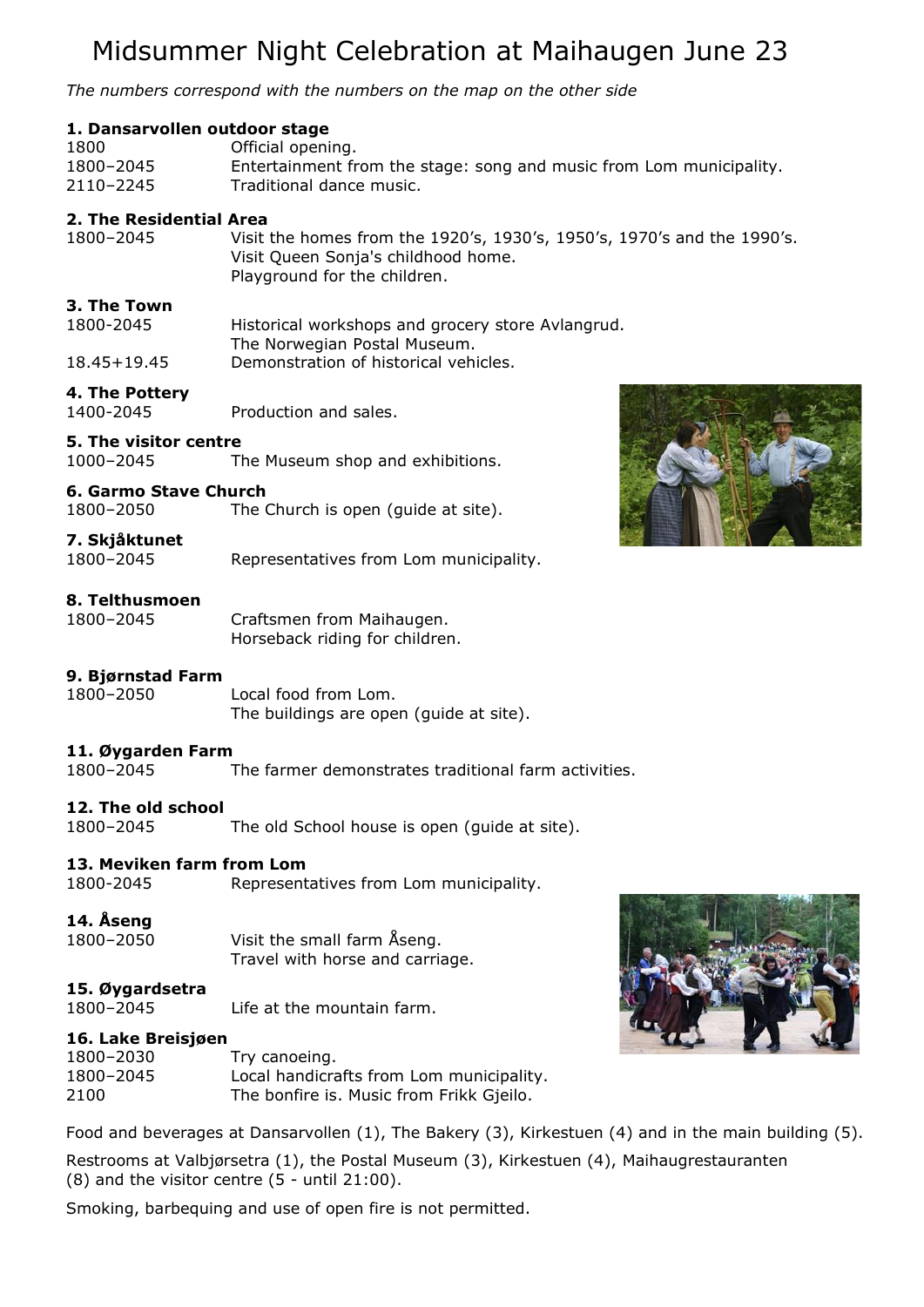# Midsummer Night Celebration at Maihaugen June 23

*The numbers correspond with the numbers on the map on the other side*

# **1. Dansarvollen outdoor stage**

| 1800      | Official opening.                                                   |
|-----------|---------------------------------------------------------------------|
| 1800-2045 | Entertainment from the stage: song and music from Lom municipality. |
| 2110-2245 | Traditional dance music.                                            |

#### **2. The Residential Area**

1800–2045 Visit the homes from the 1920's, 1930's, 1950's, 1970's and the 1990's. Visit Queen Sonja's childhood home. Playground for the children.

# **3. The Town**

| 1800-2045   | Historical workshops and grocery store Avlangrud. |
|-------------|---------------------------------------------------|
|             | The Norwegian Postal Museum.                      |
| 18.45+19.45 | Demonstration of historical vehicles.             |

# **4. The Pottery**

1400-2045 Production and sales.

# **5. The visitor centre**

1000–2045 The Museum shop and exhibitions.

#### **6. Garmo Stave Church**

1800–2050 The Church is open (guide at site).

#### **7. Skjåktunet**

1800–2045 Representatives from Lom municipality.

#### **8. Telthusmoen**

1800–2045 Craftsmen from Maihaugen. Horseback riding for children.

# **9. Bjørnstad Farm**

1800–2050 Local food from Lom. The buildings are open (guide at site).

# **11. Øygarden Farm**

1800–2045 The farmer demonstrates traditional farm activities.

# **12. The old school**

1800–2045 The old School house is open (guide at site).

# **13. Meviken farm from Lom**

1800-2045 Representatives from Lom municipality.

# **14. Åseng**

| 1800-2050 | Visit the small farm Aseng.     |
|-----------|---------------------------------|
|           | Travel with horse and carriage. |

# **15. Øygardsetra**

1800–2045 Life at the mountain farm.

# **16. Lake Breisjøen**

| 1800-2030 | Try canoeing.                            |
|-----------|------------------------------------------|
| 1800-2045 | Local handicrafts from Lom municipality. |
| 2100      | The bonfire is. Music from Frikk Gjeilo. |

Food and beverages at Dansarvollen (1), The Bakery (3), Kirkestuen (4) and in the main building (5).

Restrooms at Valbjørsetra (1), the Postal Museum (3), Kirkestuen (4), Maihaugrestauranten  $(8)$  and the visitor centre  $(5 - \text{until } 21:00)$ .

Smoking, barbequing and use of open fire is not permitted.